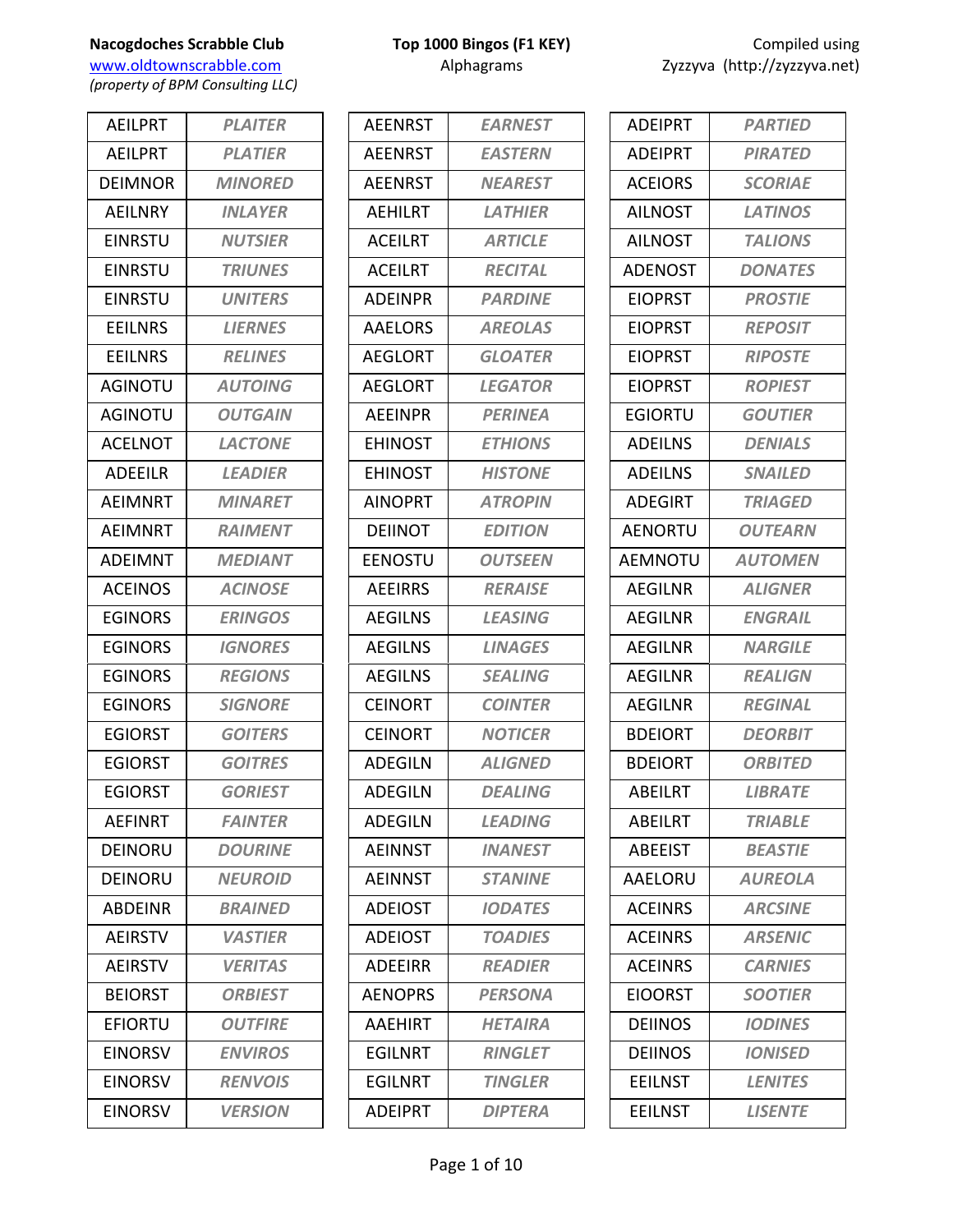www.oldtownscrabble.com Alphagrams Alphagrams Zyzzyva (http://zyzzyva.net) *(property of BPM Consulting LLC)*

AEILPRT *PLAITER* AEILPRT *PLATIER* DEIMNOR *MINORED* AEILNRY *INLAYER* EINRSTU *NUTSIER* EINRSTU *TRIUNES* EINRSTU *UNITERS* EEILNRS *LIERNES* EEILNRS *RELINES* AGINOTU *AUTOING* AGINOTU *OUTGAIN* ACELNOT *LACTONE* ADEEILR *LEADIER* AEIMNRT *MINARET* AEIMNRT *RAIMENT* ADEIMNT *MEDIANT* ACEINOS *ACINOSE* EGINORS *ERINGOS* EGINORS *IGNORES* EGINORS *REGIONS* EGINORS *SIGNORE* EGIORST *GOITERS* EGIORST *GOITRES* EGIORST *GORIEST* AEFINRT *FAINTER* DEINORU *DOURINE* DEINORU *NEUROID* ABDEINR *BRAINED* AEIRSTV *VASTIER* AEIRSTV *VERITAS* BEIORST *ORBIEST* EFIORTU *OUTFIRE* EINORSV *ENVIROS* EINORSV *RENVOIS* EINORSV *VERSION*

| <b>AEENRST</b> | <b>EARNEST</b> |
|----------------|----------------|
| <b>AEENRST</b> | <b>EASTERN</b> |
| <b>AEENRST</b> | <b>NEAREST</b> |
| <b>AEHILRT</b> | <b>LATHIER</b> |
| <b>ACEILRT</b> | <b>ARTICLE</b> |
| <b>ACEILRT</b> | <b>RECITAL</b> |
| <b>ADEINPR</b> | <b>PARDINF</b> |
| <b>AAELORS</b> | <b>AREOLAS</b> |
| <b>AEGLORT</b> | <b>GLOATER</b> |
| AFGLORT        | <b>LEGATOR</b> |
| <b>AEEINPR</b> | <b>PERINEA</b> |
| <b>EHINOST</b> | <b>ETHIONS</b> |
| <b>FHINOST</b> | <b>HISTONE</b> |
| <b>AINOPRT</b> | <b>ATROPIN</b> |
| <b>DEIINOT</b> | <b>EDITION</b> |
| <b>EENOSTU</b> | <b>OUTSEEN</b> |
| <b>AEEIRRS</b> | <b>RERAISE</b> |
| <b>AEGILNS</b> | <b>LEASING</b> |
| <b>AEGILNS</b> | <b>LINAGES</b> |
| <b>AEGILNS</b> | <b>SEALING</b> |
| <b>CEINORT</b> | <b>COINTER</b> |
| <b>CFINORT</b> | <b>NOTICER</b> |
| ADEGILN        | <b>ALIGNED</b> |
| ADFGILN        | <b>DEALING</b> |
| <b>ADEGILN</b> | <b>LEADING</b> |
| <b>AEINNST</b> | <b>INANEST</b> |
| <b>AEINNST</b> | <b>STANINE</b> |
| <b>ADEIOST</b> | <b>IODATES</b> |
| <b>ADEIOST</b> | <b>TOADIES</b> |
| <b>ADEEIRR</b> | <b>READIER</b> |
| <b>AENOPRS</b> | <b>PERSONA</b> |
| AAEHIRT        | <b>HETAIRA</b> |
| <b>EGILNRT</b> | <b>RINGLET</b> |
| <b>EGILNRT</b> | <b>TINGLER</b> |
| <b>ADEIPRT</b> | <b>DIPTERA</b> |

| <b>ADEIPRT</b> | <b>PARTIED</b> |
|----------------|----------------|
| <b>ADEIPRT</b> | <b>PIRATED</b> |
| <b>ACEIORS</b> | <b>SCORIAE</b> |
| <b>AILNOST</b> | <b>LATINOS</b> |
| <b>AILNOST</b> | <b>TALIONS</b> |
| <b>ADENOST</b> | <b>DONATES</b> |
| <b>EIOPRST</b> | <b>PROSTIE</b> |
| <b>EIOPRST</b> | <b>REPOSIT</b> |
| <b>EIOPRST</b> | <b>RIPOSTE</b> |
| <b>EIOPRST</b> | <b>ROPIEST</b> |
| EGIORTU        | <b>GOUTIER</b> |
| <b>ADEILNS</b> | <b>DENIALS</b> |
| <b>ADEILNS</b> | <b>SNAILED</b> |
| <b>ADEGIRT</b> | TRIAGED        |
| <b>AENORTU</b> | <b>OUTEARN</b> |
| AEMNOTU        | <b>AUTOMEN</b> |
| <b>AEGILNR</b> | <b>ALIGNER</b> |
| AEGILNR        | <b>ENGRAIL</b> |
| <b>AEGILNR</b> | <b>NARGILE</b> |
| AEGILNR        | <b>REALIGN</b> |
| <b>AEGILNR</b> | <b>REGINAL</b> |
| <b>BDEIORT</b> | <b>DEORBIT</b> |
| <b>BDEIORT</b> | <b>ORBITED</b> |
| ABEILRT        | <i>LIBRATE</i> |
| <b>ABFILRT</b> | <b>TRIABLE</b> |
| <b>ABEEIST</b> | <b>BEASTIE</b> |
| AAELORU        | <b>AUREOLA</b> |
| <b>ACEINRS</b> | <b>ARCSINE</b> |
| <b>ACEINRS</b> | <b>ARSENIC</b> |
| <b>ACEINRS</b> | <b>CARNIES</b> |
| <b>EIOORST</b> | <b>SOOTIER</b> |
| <b>DEIINOS</b> | <b>IODINES</b> |
| <b>DEIINOS</b> | <b>IONISED</b> |
| <b>EEILNST</b> | <b>LENITES</b> |
| <b>EEILNST</b> | <b>LISENTE</b> |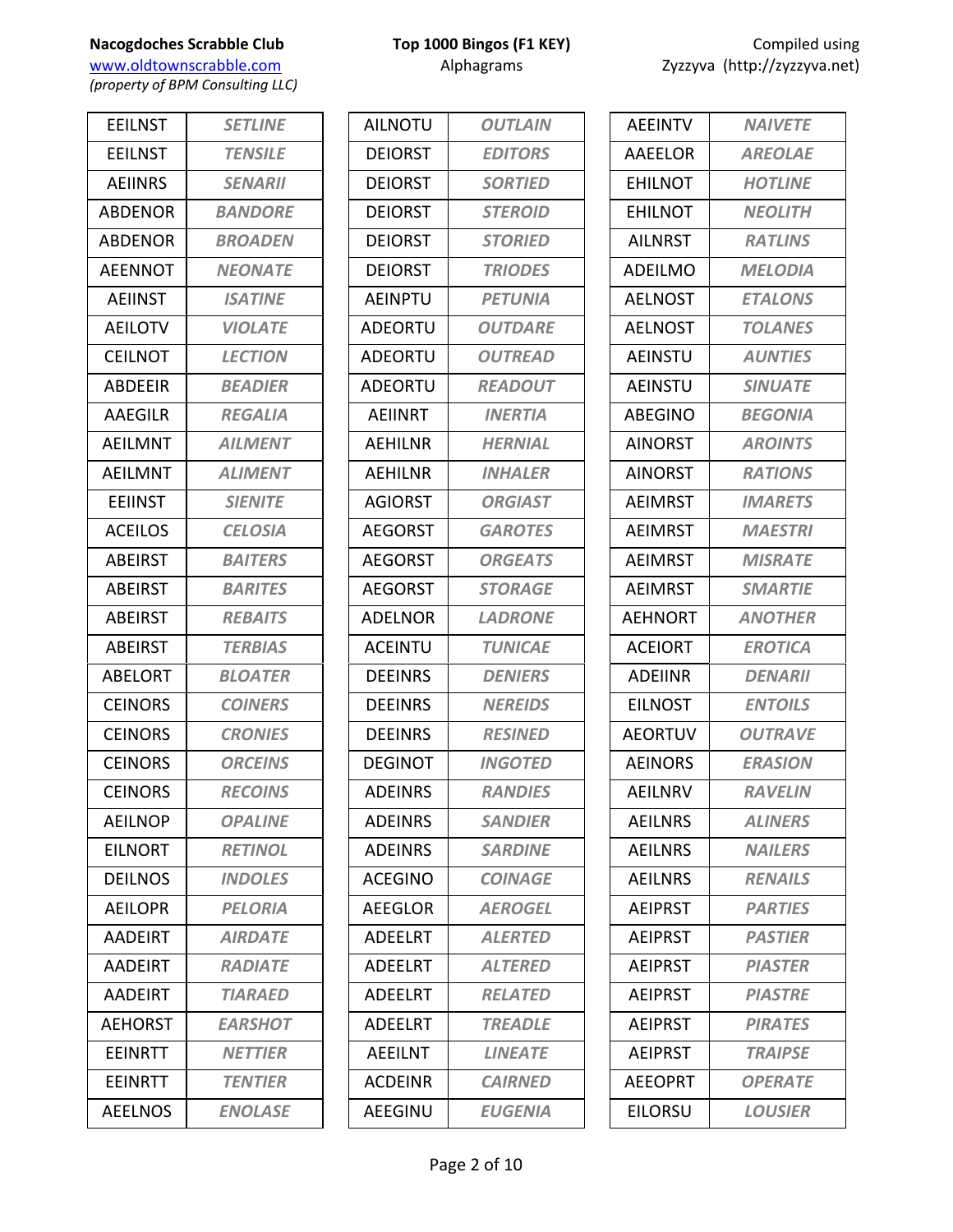**Nacogdoches Scrabble Club Top 1000 Bingos (F1 KEY) COMPILE USING USING USING USING USING USING USING USING USING USING USING USING USING USING USING USING USING USING USING USING USING USING USING USING USING USING US** www.oldtownscrabble.com

*(property of BPM Consulting LLC)*

| <b>EEILNST</b> | <b>SETLINE</b>        |
|----------------|-----------------------|
| <b>EEILNST</b> | <b>TENSILE</b>        |
| <b>AEIINRS</b> | <b>SENARII</b>        |
| <b>ABDENOR</b> | <b>BANDORE</b>        |
| <b>ABDENOR</b> | <b>BROADEN</b>        |
| <b>AEENNOT</b> | <b>NEONATE</b>        |
| <b>AEIINST</b> | <b>ISATINE</b>        |
| <b>AEILOTV</b> | <b>VIOLATE</b>        |
| <b>CEILNOT</b> | <b>LECTION</b>        |
| ABDEEIR        | <b>BEADIER</b>        |
| <b>AAEGILR</b> | <b>REGALIA</b>        |
| <b>AEILMNT</b> | <b>AILMENT</b>        |
| <b>AEILMNT</b> | <b>ALIMENT</b>        |
| <b>EEIINST</b> | <b>SIENITE</b>        |
| <b>ACEILOS</b> | <b>CELOSIA</b>        |
| <b>ABEIRST</b> | <b>BAITERS</b>        |
| <b>ABEIRST</b> | <b>BARITES</b>        |
| <b>ABEIRST</b> | <b>REBAITS</b>        |
| ABEIRST        | <b>TERBIAS</b>        |
| <b>ABELORT</b> | <b>BLOATER</b>        |
| <b>CEINORS</b> | <b>COINERS</b>        |
| <b>CEINORS</b> | <b>CRONIES</b>        |
| <b>CEINORS</b> | <b>ORCEINS</b>        |
| <b>CEINORS</b> | <b>RECOINS</b>        |
| <b>AEILNOP</b> | <b>OPALINE</b>        |
| <b>EILNORT</b> | <b>RETINOL</b>        |
| <b>DEILNOS</b> | <i><b>INDOLES</b></i> |
| <b>AEILOPR</b> | <b>PELORIA</b>        |
| <b>AADEIRT</b> | <b>AIRDATE</b>        |
| <b>AADEIRT</b> | <b>RADIATE</b>        |
| <b>AADEIRT</b> | <b>TIARAED</b>        |
| <b>AEHORST</b> | <b>EARSHOT</b>        |
| EEINRTT        | <b>NETTIER</b>        |
| <b>EEINRTT</b> | <b>TENTIER</b>        |
| <b>AEELNOS</b> | <b>ENOLASE</b>        |
|                |                       |

| <b>OUTLAIN</b>        |
|-----------------------|
| <b>EDITORS</b>        |
| <b>SORTIED</b>        |
| <b>STEROID</b>        |
| <b>STORIED</b>        |
| <b>TRIODES</b>        |
| <b>PETUNIA</b>        |
| <b>OUTDARE</b>        |
| <b>OUTREAD</b>        |
| <b>READOUT</b>        |
| <b>INERTIA</b>        |
| <b>HERNIAL</b>        |
| <b>INHALER</b>        |
| <b>ORGIAST</b>        |
| <b>GAROTES</b>        |
| <b>ORGEATS</b>        |
| <b>STORAGE</b>        |
| <b>LADRONE</b>        |
| <b>TUNICAE</b>        |
| <b>DENIERS</b>        |
| <b>NEREIDS</b>        |
| <b>RESINED</b>        |
| <b>INGOTED</b>        |
| <i><b>RANDIES</b></i> |
| <b>SANDIER</b>        |
| <b>SARDINE</b>        |
| <b>COINAGE</b>        |
| <b>AEROGEL</b>        |
| <b>ALERTED</b>        |
| <b>ALTERED</b>        |
| <b>RELATED</b>        |
| <b>TREADLE</b>        |
| <b>LINEATE</b>        |
| <b>CAIRNED</b>        |
| <b>EUGENIA</b>        |
|                       |

| Compiled using              |
|-----------------------------|
| yzzyva (http://zyzzyva.net) |

| <b>AFFINTV</b> | <b>NAIVETE</b>        |
|----------------|-----------------------|
| AAEELOR        | <b>AREOLAE</b>        |
| <b>EHILNOT</b> | <b>HOTLINE</b>        |
| <b>FHILNOT</b> | <b>NEOLITH</b>        |
| <b>AILNRST</b> | <b>RATLINS</b>        |
| <b>ADEILMO</b> | MELODIA               |
| <b>AELNOST</b> | <b>ETALONS</b>        |
| <b>AELNOST</b> | <b>TOLANES</b>        |
| <b>AEINSTU</b> | <b>AUNTIES</b>        |
| <b>AEINSTU</b> | <b>SINUATE</b>        |
| <b>ABEGINO</b> | <b>BEGONIA</b>        |
| <b>AINORST</b> | <b>AROINTS</b>        |
| AINORST        | <b>RATIONS</b>        |
| <b>AEIMRST</b> | <b>IMARETS</b>        |
| <b>AEIMRST</b> | <b>MAESTRI</b>        |
| <b>AEIMRST</b> | <b>MISRATE</b>        |
| <b>AEIMRST</b> | <b>SMARTIE</b>        |
| <b>AEHNORT</b> | <b>ANOTHER</b>        |
| <b>ACEIORT</b> | <b>EROTICA</b>        |
| <b>ADEIINR</b> | <b>DENARII</b>        |
| <b>EILNOST</b> | <b>ENTOILS</b>        |
| <b>AEORTUV</b> | <b>OUTRAVE</b>        |
| <b>AFINORS</b> | <b>ERASION</b>        |
| AEILNRV        | <b>RAVELIN</b>        |
| <b>AEILNRS</b> | <b>ALINERS</b>        |
| <b>AEILNRS</b> | <i><b>NAILERS</b></i> |
| <b>AEILNRS</b> | <b>RENAILS</b>        |
| <b>AEIPRST</b> | <b>PARTIES</b>        |
| <b>AEIPRST</b> | <b>PASTIFR</b>        |
| <b>AEIPRST</b> | <b>PIASTER</b>        |
| <b>AEIPRST</b> | <b>PIASTRE</b>        |
| <b>AEIPRST</b> | <b>PIRATES</b>        |
| <b>AEIPRST</b> | <i><b>TRAIPSE</b></i> |
| <b>AEEOPRT</b> | <b>OPERATE</b>        |
| EILORSU        | <b>LOUSIER</b>        |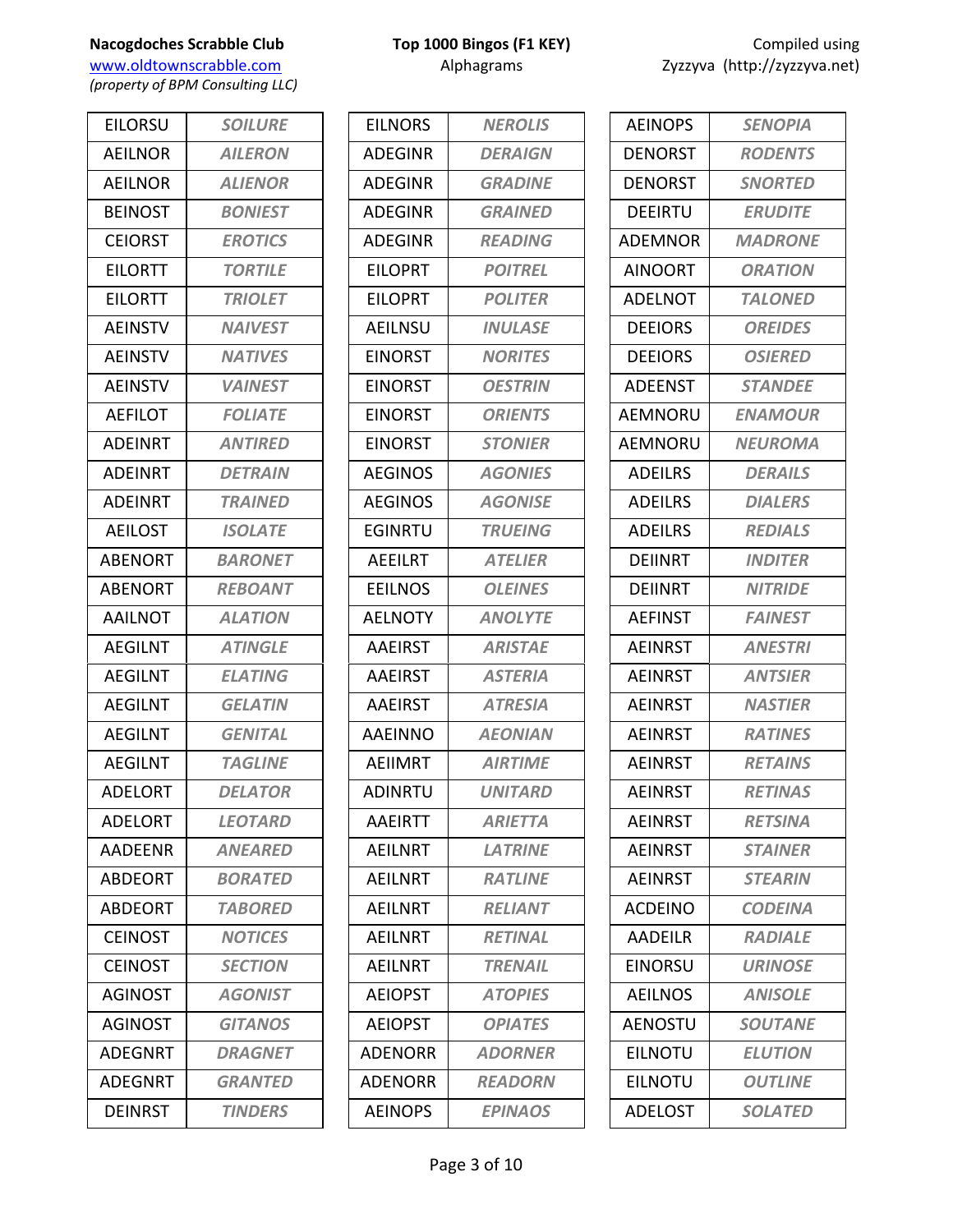www.oldtownscrabble.com Alphagrams Alphagrams Zyzzyva (http://zyzzyva.net) *(property of BPM Consulting LLC)*

EILORSU *SOILURE* AEILNOR *AILERON* AEILNOR *ALIENOR* BEINOST *BONIEST* CEIORST *EROTICS* EILORTT *TORTILE* EILORTT *TRIOLET* AEINSTV *NAIVEST* AEINSTV *NATIVES* AEINSTV *VAINEST* AEFILOT *FOLIATE* ADEINRT *ANTIRED* ADEINRT *DETRAIN* ADEINRT *TRAINED* AEILOST *ISOLATE* ABENORT *BARONET* ABENORT *REBOANT* AAILNOT *ALATION* AEGILNT *ATINGLE* AEGILNT *ELATING* AEGILNT *GELATIN* AEGILNT *GENITAL* AEGILNT *TAGLINE* ADELORT *DELATOR* ADELORT *LEOTARD* AADEENR *ANEARED* ABDEORT *BORATED* ABDEORT *TABORED* CEINOST *NOTICES* CEINOST *SECTION* AGINOST *AGONIST* AGINOST *GITANOS* ADEGNRT *DRAGNET* ADEGNRT *GRANTED* DEINRST *TINDERS*

| <b>EILNORS</b> | <b>NEROLIS</b> |
|----------------|----------------|
| <b>ADEGINR</b> | <b>DERAIGN</b> |
| <b>ADEGINR</b> | <b>GRADINE</b> |
| <b>ADEGINR</b> | <b>GRAINED</b> |
| <b>ADEGINR</b> | <b>READING</b> |
| <b>EILOPRT</b> | <b>POITREL</b> |
| <b>EILOPRT</b> | <b>POLITER</b> |
| <b>AEILNSU</b> | <b>INULASE</b> |
| <b>EINORST</b> | <b>NORITES</b> |
| EINORST        | <b>OESTRIN</b> |
| <b>EINORST</b> | <b>ORIENTS</b> |
| EINORST        | <b>STONIER</b> |
| <b>AEGINOS</b> | <b>AGONIES</b> |
| <b>AEGINOS</b> | <b>AGONISE</b> |
| <b>EGINRTU</b> | <b>TRUEING</b> |
| AEEILRT        | <b>ATELIER</b> |
| <b>EEILNOS</b> | <b>OLEINES</b> |
| <b>AELNOTY</b> | <b>ANOLYTE</b> |
| <b>AAEIRST</b> | <b>ARISTAE</b> |
| <b>AAEIRST</b> | <b>ASTERIA</b> |
| <b>AAEIRST</b> | <b>ATRESIA</b> |
| <b>AAEINNO</b> | <b>AEONIAN</b> |
| AEIIMRT        | <b>AIRTIME</b> |
| <b>ADINRTU</b> | <b>UNITARD</b> |
| <b>AAEIRTT</b> | <b>ARIETTA</b> |
| <b>AEILNRT</b> | <b>LATRINE</b> |
| <b>AEILNRT</b> | <b>RATLINE</b> |
| <b>AFILNRT</b> | <b>RELIANT</b> |
| AEILNRT        | <b>RETINAL</b> |
| AEILNRT        | <b>TRENAIL</b> |
| <b>AEIOPST</b> | <b>ATOPIES</b> |
| <b>AEIOPST</b> | <b>OPIATES</b> |
| <b>ADENORR</b> | <b>ADORNER</b> |
| <b>ADENORR</b> | <b>READORN</b> |
| <b>AEINOPS</b> | <b>EPINAOS</b> |

| <b>AEINOPS</b> | <b>SENOPIA</b>        |
|----------------|-----------------------|
| <b>DENORST</b> | <b>RODENTS</b>        |
| DENORST        | <b>SNORTED</b>        |
| DEEIRTU        | <b>ERUDITE</b>        |
| <b>ADEMNOR</b> | <b>MADRONE</b>        |
| <b>AINOORT</b> | <b>ORATION</b>        |
| <b>ADELNOT</b> | <b>TALONED</b>        |
| <b>DEEIORS</b> | <b>OREIDES</b>        |
| <b>DEEIORS</b> | <b>OSIERED</b>        |
| <b>ADEENST</b> | <b>STANDEE</b>        |
| <b>AEMNORU</b> | <b>ENAMOUR</b>        |
| <b>AEMNORU</b> | <b>NEUROMA</b>        |
| <b>ADEILRS</b> | <b>DERAILS</b>        |
| <b>ADEILRS</b> | <b>DIALERS</b>        |
| <b>ADEILRS</b> | <b>REDIALS</b>        |
| <b>DEIINRT</b> | <b>INDITER</b>        |
| <b>DEIINRT</b> | <b>NITRIDE</b>        |
| <b>AEFINST</b> | <b>FAINEST</b>        |
| <b>AEINRST</b> | <b>ANESTRI</b>        |
| <b>AEINRST</b> | <b>ANTSIER</b>        |
| <b>AEINRST</b> | <b>NASTIER</b>        |
| <b>AEINRST</b> | <b>RATINES</b>        |
| <b>AEINRST</b> | <b>RETAINS</b>        |
| AEINRST        | <i><b>RETINAS</b></i> |
| <b>AFINRST</b> | <b>RETSINA</b>        |
| <b>AEINRST</b> | <b>STAINER</b>        |
| <b>AEINRST</b> | <b>STEARIN</b>        |
| <b>ACDEINO</b> | <b>CODEINA</b>        |
| AADEILR        | <b>RADIALE</b>        |
| EINORSU        | <b>URINOSE</b>        |
| <b>AEILNOS</b> | <b>ANISOLE</b>        |
| <b>AENOSTU</b> | <b>SOUTANE</b>        |
| <b>EILNOTU</b> | <b>ELUTION</b>        |
| EILNOTU        | <b>OUTLINE</b>        |
| <b>ADELOST</b> | <b>SOLATED</b>        |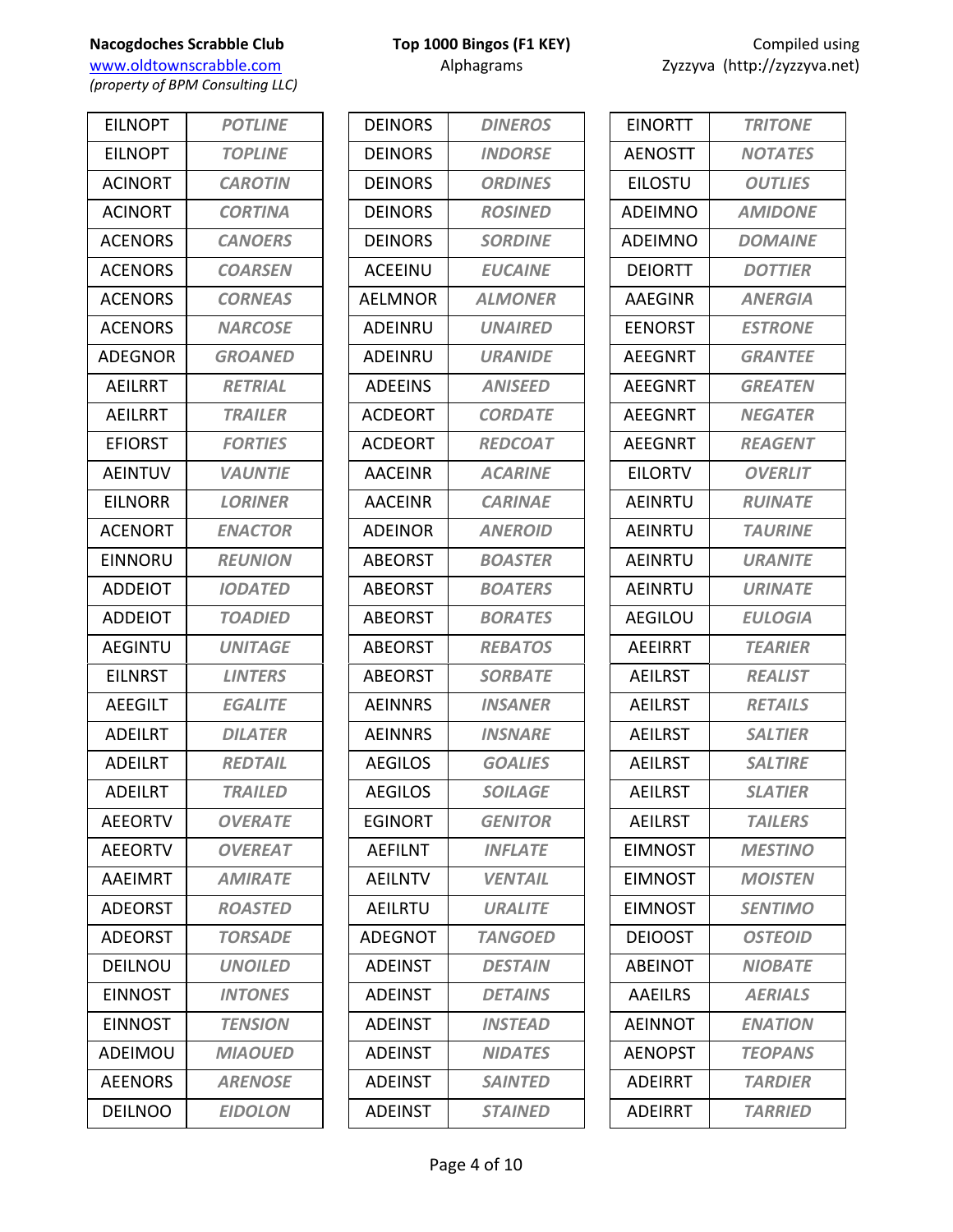www.oldtownscrabble.com Alphagrams Alphagrams Zyzzyva (http://zyzzyva.net) *(property of BPM Consulting LLC)*

EILNOPT *POTLINE* EILNOPT *TOPLINE* ACINORT *CAROTIN* ACINORT *CORTINA* ACENORS *CANOERS* ACENORS *COARSEN* ACENORS *CORNEAS* ACENORS *NARCOSE* ADEGNOR *GROANED* AEILRRT *RETRIAL* AEILRRT *TRAILER* EFIORST *FORTIES* AEINTUV *VAUNTIE* EILNORR *LORINER* ACENORT *ENACTOR* EINNORU *REUNION* ADDEIOT *IODATED* ADDEIOT *TOADIED* AEGINTU *UNITAGE* EILNRST *LINTERS* AEEGILT *EGALITE* ADEILRT *DILATER* ADEILRT *REDTAIL* ADEILRT *TRAILED* AEEORTV *OVERATE* AEEORTV *OVEREAT* AAEIMRT *AMIRATE* ADEORST *ROASTED* ADEORST *TORSADE* DEILNOU *UNOILED* EINNOST *INTONES* EINNOST *TENSION* ADEIMOU *MIAOUED* AEENORS *ARENOSE* DEILNOO *EIDOLON*

|  | Top 1000 Bingos (F1 KEY) |  |
|--|--------------------------|--|
|  | Alphagrams               |  |

| DEINORS        | <b>DINEROS</b> |
|----------------|----------------|
| <b>DEINORS</b> | <b>INDORSE</b> |
| <b>DEINORS</b> | <b>ORDINES</b> |
| <b>DEINORS</b> | <b>ROSINED</b> |
| <b>DEINORS</b> | <b>SORDINE</b> |
| <b>ACEEINU</b> | <b>EUCAINE</b> |
| <b>AELMNOR</b> | <b>ALMONER</b> |
| ADEINRU        | <b>UNAIRED</b> |
| ADEINRU        | <b>URANIDE</b> |
| <b>ADEEINS</b> | <b>ANISEED</b> |
| <b>ACDEORT</b> | <b>CORDATE</b> |
| <b>ACDEORT</b> | <b>REDCOAT</b> |
| <b>AACEINR</b> | <b>ACARINE</b> |
| <b>AACEINR</b> | <b>CARINAE</b> |
| <b>ADFINOR</b> | <b>ANEROID</b> |
| <b>ABEORST</b> | <b>BOASTER</b> |
| <b>ABEORST</b> | <b>BOATERS</b> |
| <b>ABEORST</b> | <b>BORATES</b> |
| ABEORST        | <b>REBATOS</b> |
| <b>ABEORST</b> | <b>SORBATE</b> |
| <b>AEINNRS</b> | <b>INSANER</b> |
| <b>AEINNRS</b> | <b>INSNARE</b> |
| <b>AEGILOS</b> | <b>GOALIES</b> |
| <b>AEGILOS</b> | <b>SOILAGE</b> |
| <b>EGINORT</b> | <b>GENITOR</b> |
| <b>AEFILNT</b> | <b>INFLATE</b> |
| <b>AEILNTV</b> | <b>VENTAIL</b> |
| <b>AEILRTU</b> | <b>URALITE</b> |
| <b>ADEGNOT</b> | <b>TANGOED</b> |
| <b>ADEINST</b> | <b>DESTAIN</b> |
| <b>ADEINST</b> | <b>DETAINS</b> |
| <b>ADEINST</b> | <b>INSTEAD</b> |
| <b>ADEINST</b> | <b>NIDATES</b> |
| ADEINST        | <b>SAINTED</b> |
| <b>ADEINST</b> | <b>STAINED</b> |

| <b>EINORTT</b> | <b>TRITONE</b>        |
|----------------|-----------------------|
| <b>AENOSTT</b> | <b>NOTATES</b>        |
| <b>EILOSTU</b> | <b>OUTLIES</b>        |
| ADEIMNO        | <b>AMIDONE</b>        |
| <b>ADEIMNO</b> | <b>DOMAINE</b>        |
| <b>DEIORTT</b> | <b>DOTTIER</b>        |
| <b>AAEGINR</b> | <b>ANERGIA</b>        |
| <b>EENORST</b> | <b>ESTRONE</b>        |
| <b>AEEGNRT</b> | <b>GRANTEE</b>        |
| <b>AEEGNRT</b> | <b>GREATEN</b>        |
| <b>AEEGNRT</b> | <b>NEGATER</b>        |
| <b>AEEGNRT</b> | <b>REAGENT</b>        |
| <b>EILORTV</b> | <b>OVERLIT</b>        |
| <b>AEINRTU</b> | <b>RUINATE</b>        |
| AEINRTU        | <b>TAURINE</b>        |
| <b>AEINRTU</b> | URANITE               |
| AEINRTU        | <b>URINATE</b>        |
| <b>AEGILOU</b> | <b>EULOGIA</b>        |
| <b>AEEIRRT</b> | <b>TEARIER</b>        |
| <b>AEILRST</b> | <b>REALIST</b>        |
| <b>AEILRST</b> | <b>RETAILS</b>        |
| <b>AEILRST</b> | <b>SALTIER</b>        |
| <b>AEILRST</b> | <b>SALTIRE</b>        |
| <b>AEILRST</b> | <i><b>SLATIER</b></i> |
| <b>AEILRST</b> | <b>TAILERS</b>        |
| EIMNOST        | <b>MESTINO</b>        |
| <b>EIMNOST</b> | <b>MOISTEN</b>        |
| <b>EIMNOST</b> | <b>SENTIMO</b>        |
| <b>DEIOOST</b> | <b>OSTEOID</b>        |
| <b>ABEINOT</b> | <b>NIOBATE</b>        |
| <b>AAEILRS</b> | <b>AERIALS</b>        |
| <b>AEINNOT</b> | <b>ENATION</b>        |
| <b>AENOPST</b> | <b>TEOPANS</b>        |
| <b>ADEIRRT</b> | <b>TARDIER</b>        |
| ADEIRRT        | <b>TARRIED</b>        |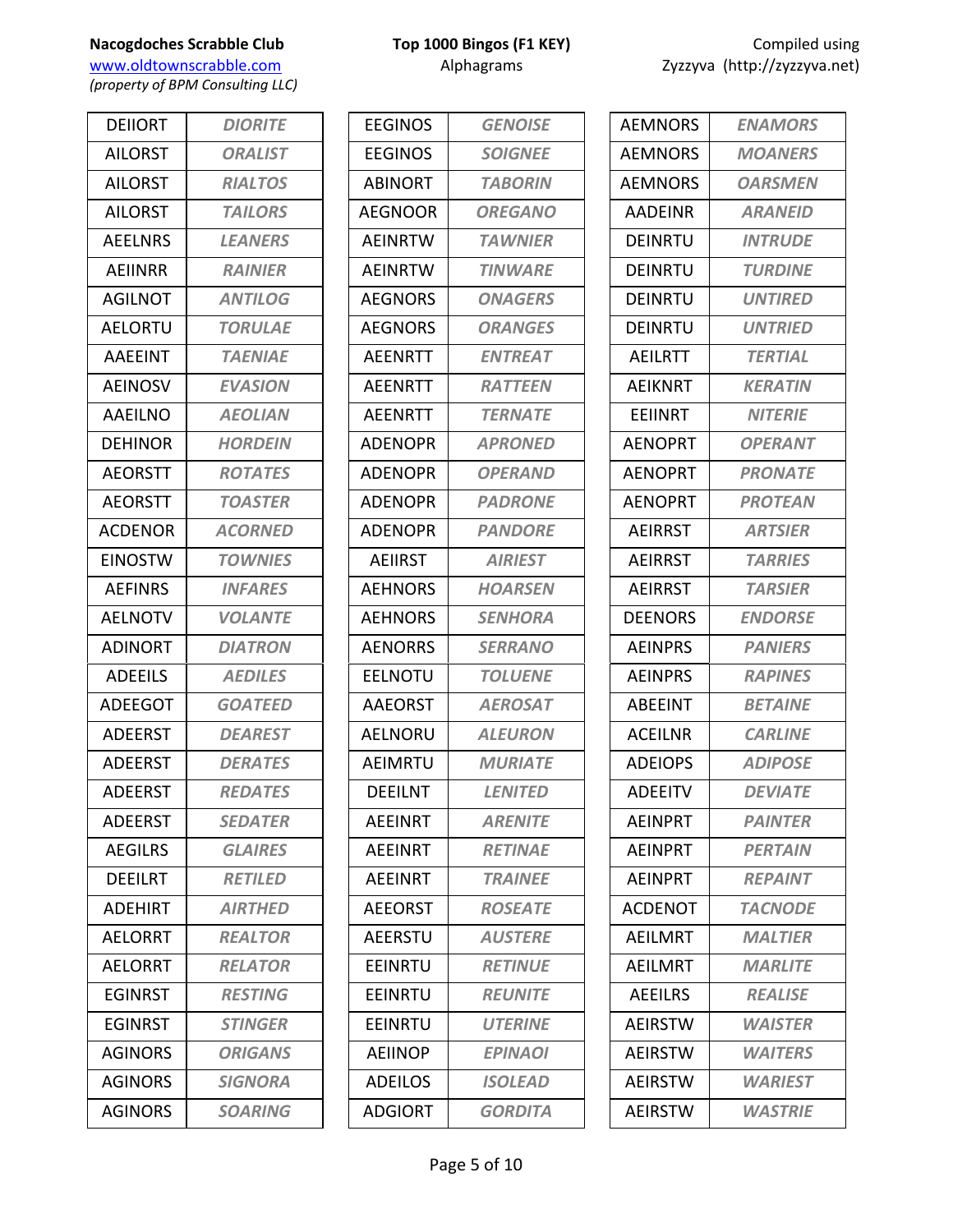www.oldtownscrabble.com Alphagrams Alphagrams Zyzzyva (http://zyzzyva.net) *(property of BPM Consulting LLC)*

DEIIORT *DIORITE* AILORST *ORALIST* AILORST *RIALTOS* AILORST *TAILORS* AEELNRS *LEANERS* AEIINRR *RAINIER* AGILNOT *ANTILOG* AELORTU *TORULAE* AAEEINT *TAENIAE* AEINOSV *EVASION* AAEILNO *AEOLIAN* DEHINOR *HORDEIN* AEORSTT *ROTATES* AEORSTT *TOASTER* ACDENOR *ACORNED* EINOSTW *TOWNIES* AEFINRS *INFARES* AELNOTV *VOLANTE* ADINORT *DIATRON* ADEEILS *AEDILES* ADEEGOT *GOATEED* ADEERST *DEAREST* ADEERST *DERATES* ADEERST *REDATES* ADEERST *SEDATER* AEGILRS *GLAIRES* DEEILRT *RETILED* ADEHIRT *AIRTHED* AELORRT *REALTOR* AELORRT *RELATOR* EGINRST *RESTING* EGINRST *STINGER* AGINORS *ORIGANS* AGINORS *SIGNORA* AGINORS *SOARING*

| <b>EEGINOS</b> | <b>GENOISE</b> |
|----------------|----------------|
| <b>EEGINOS</b> | <b>SOIGNEE</b> |
| ABINORT        | <b>TABORIN</b> |
| <b>AEGNOOR</b> | <b>OREGANO</b> |
| AEINRTW        | <b>TAWNIER</b> |
| <b>AEINRTW</b> | <b>TINWARE</b> |
| <b>AEGNORS</b> | <b>ONAGERS</b> |
| <b>AEGNORS</b> | <b>ORANGES</b> |
| <b>AEENRTT</b> | <b>ENTREAT</b> |
| AEENRTT        | <b>RATTEEN</b> |
| <b>AEENRTT</b> | <b>TERNATE</b> |
| ADENOPR        | <b>APRONED</b> |
| <b>ADENOPR</b> | <b>OPERAND</b> |
| ADENOPR        | <b>PADRONE</b> |
| <b>ADENOPR</b> | <b>PANDORE</b> |
| <b>AEIIRST</b> | <b>AIRIEST</b> |
| <b>AEHNORS</b> | <b>HOARSEN</b> |
| <b>AEHNORS</b> | <b>SENHORA</b> |
| <b>AENORRS</b> | <b>SERRANO</b> |
| <b>EELNOTU</b> | <b>TOLUENE</b> |
| <b>AAEORST</b> | <b>AEROSAT</b> |
| AELNORU        | <b>ALEURON</b> |
| AEIMRTU        | <b>MURIATE</b> |
| <b>DEEILNT</b> | <b>LENITED</b> |
| <b>AEEINRT</b> | <b>ARENITE</b> |
| <b>AEEINRT</b> | <b>RETINAE</b> |
| <b>AEEINRT</b> | <b>TRAINEE</b> |
| <b>AEEORST</b> | <b>ROSEATE</b> |
| <b>AEERSTU</b> | <b>AUSTERE</b> |
| <b>EEINRTU</b> | <b>RETINUE</b> |
| EEINRTU        | <b>REUNITE</b> |
| <b>EEINRTU</b> | <b>UTERINE</b> |
| <b>AEIINOP</b> | <b>EPINAOI</b> |
| ADEILOS        | <b>ISOLEAD</b> |
| <b>ADGIORT</b> | <b>GORDITA</b> |

| <b>AEMNORS</b> | <b>ENAMORS</b>        |
|----------------|-----------------------|
| <b>AEMNORS</b> | <b>MOANERS</b>        |
| <b>AEMNORS</b> | <b>OARSMEN</b>        |
| AADEINR        | <b>ARANEID</b>        |
| DEINRTU        | <b>INTRUDE</b>        |
| <b>DEINRTU</b> | <b>TURDINE</b>        |
| DFINRTU        | <b>UNTIRED</b>        |
| <b>DEINRTU</b> | <b>UNTRIED</b>        |
| AEILRTT        | <b>TERTIAL</b>        |
| <b>AEIKNRT</b> | <b>KERATIN</b>        |
| EEIINRT        | <b>NITERIE</b>        |
| <b>AENOPRT</b> | <b>OPERANT</b>        |
| <b>AENOPRT</b> | <b>PRONATE</b>        |
| AENOPRT        | <b>PROTEAN</b>        |
| <b>AEIRRST</b> | <b>ARTSIER</b>        |
| <b>AEIRRST</b> | <b>TARRIES</b>        |
| <b>AEIRRST</b> | <b>TARSIER</b>        |
| DEENORS        | <b>ENDORSE</b>        |
| <b>AEINPRS</b> | <b>PANIERS</b>        |
| <b>AEINPRS</b> | <b>RAPINES</b>        |
| <b>ABEEINT</b> | <b>BETAINE</b>        |
| <b>ACEILNR</b> | <b>CARLINE</b>        |
| <b>ADFIOPS</b> | <b>ADIPOSE</b>        |
| ADFFITV        | <i><b>DEVIATE</b></i> |
| AFINPRT        | <b>PAINTER</b>        |
| <b>AFINPRT</b> | <b>PERTAIN</b>        |
| <b>AEINPRT</b> | <b>REPAINT</b>        |
| <b>ACDENOT</b> | <i><b>TACNODE</b></i> |
| AEILMRT        | <b>MALTIER</b>        |
| AEILMRT        | <b>MARLITE</b>        |
| <b>AEEILRS</b> | <b>REALISE</b>        |
| <b>AEIRSTW</b> | <b>WAISTER</b>        |
| <b>AEIRSTW</b> | WAITERS               |
| <b>AEIRSTW</b> | <i><b>WARIEST</b></i> |
| <b>AEIRSTW</b> | <b>WASTRIE</b>        |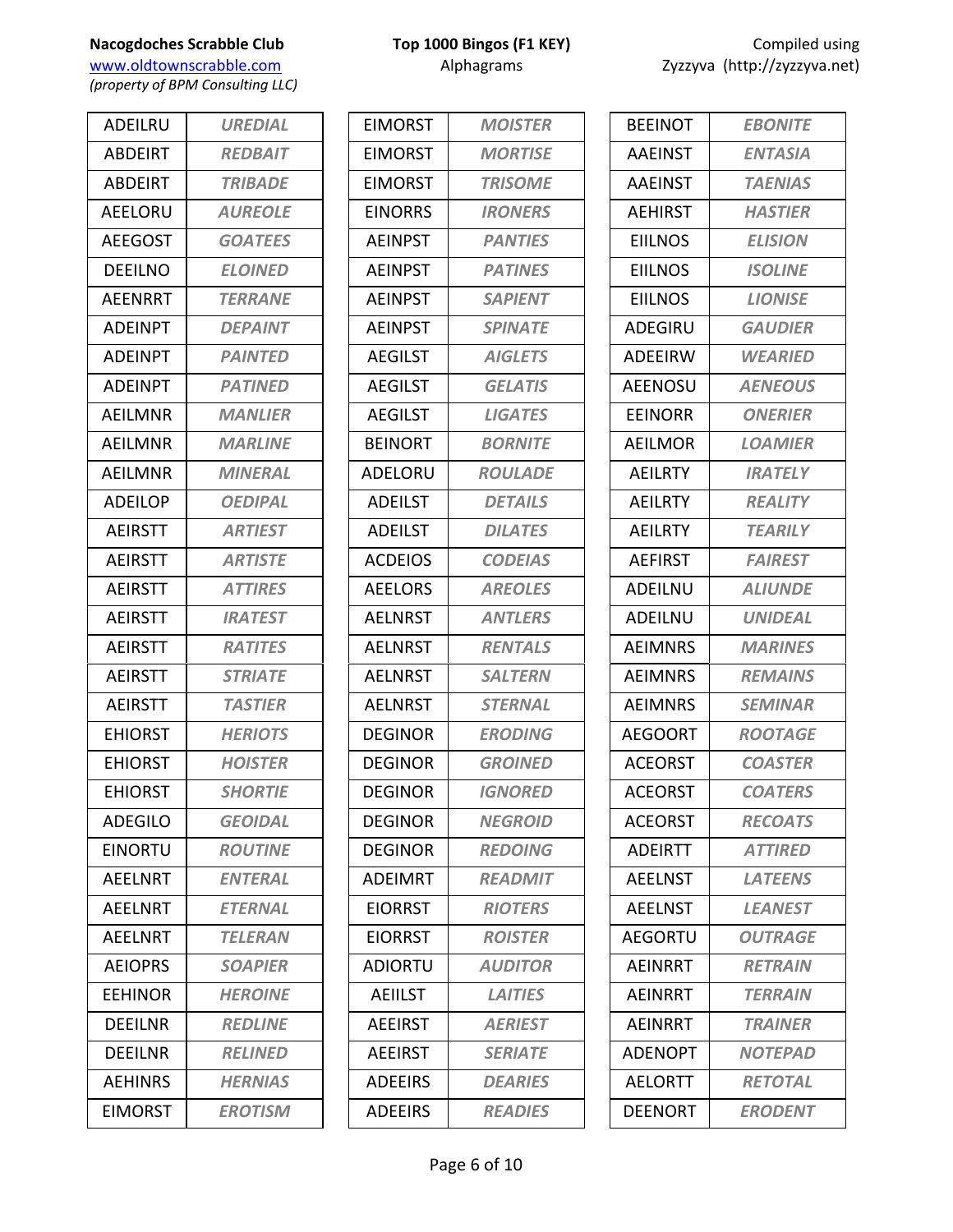*(property of BPM Consulting LLC)*

| <b>ADFILRU</b> | <b>UREDIAL</b>        |
|----------------|-----------------------|
| <b>ABDEIRT</b> | <b>REDBAIT</b>        |
| <b>ABDEIRT</b> | <b>TRIBADE</b>        |
| AEELORU        | <b>AUREOLE</b>        |
| <b>AEEGOST</b> | <b>GOATEES</b>        |
| <b>DEEILNO</b> | <b>ELOINED</b>        |
| <b>AEENRRT</b> | <b>TERRANE</b>        |
| <b>ADEINPT</b> | <b>DEPAINT</b>        |
| <b>ADEINPT</b> | <b>PAINTED</b>        |
| <b>ADEINPT</b> | <b>PATINED</b>        |
| <b>AEILMNR</b> | <b>MANLIER</b>        |
| AEILMNR        | <b>MARLINE</b>        |
| AEILMNR        | <b>MINERAL</b>        |
| <b>ADEILOP</b> | <b>OEDIPAL</b>        |
| <b>AEIRSTT</b> | <b>ARTIEST</b>        |
| <b>AEIRSTT</b> | <b>ARTISTE</b>        |
| <b>AEIRSTT</b> | <b>ATTIRES</b>        |
| <b>AEIRSTT</b> | <b>IRATEST</b>        |
| <b>AEIRSTT</b> | <b>RATITES</b>        |
| <b>AEIRSTT</b> | <b>STRIATE</b>        |
| <b>AEIRSTT</b> | <b>TASTIER</b>        |
| <b>EHIORST</b> | <b>HERIOTS</b>        |
| <b>EHIORST</b> | <b>HOISTER</b>        |
| <b>EHIORST</b> | <b>SHORTIE</b>        |
| <b>ADEGILO</b> | <b>GEOIDAL</b>        |
| <b>EINORTU</b> | <b>ROUTINE</b>        |
| <b>AEELNRT</b> | <b>ENTERAL</b>        |
| <b>AEELNRT</b> | <b>ETERNAL</b>        |
| AEELNRT        | <i><b>TELERAN</b></i> |
| <b>AEIOPRS</b> | <b>SOAPIER</b>        |
| EEHINOR        | <b>HEROINE</b>        |
| <b>DEEILNR</b> | <b>REDLINE</b>        |
| DEEILNR        | <b>RELINED</b>        |
| <b>AEHINRS</b> | <b>HERNIAS</b>        |
| <b>EIMORST</b> | <b>EROTISM</b>        |

|  | Top 1000 Bingos (F1 KEY) |  |
|--|--------------------------|--|
|  | Alphagrams               |  |

| <b>EIMORST</b> | <b>MOISTER</b> |
|----------------|----------------|
| EIMORST        | <b>MORTISE</b> |
| <b>EIMORST</b> | <b>TRISOME</b> |
| <b>EINORRS</b> | <b>IRONERS</b> |
| <b>AEINPST</b> | <b>PANTIES</b> |
| <b>AEINPST</b> | <b>PATINES</b> |
| <b>AEINPST</b> | <b>SAPIENT</b> |
| <b>AEINPST</b> | <b>SPINATE</b> |
| <b>AEGILST</b> | <b>AIGLETS</b> |
| <b>AEGILST</b> | <b>GELATIS</b> |
| <b>AEGILST</b> | <b>LIGATES</b> |
| <b>BEINORT</b> | <b>BORNITE</b> |
| ADELORU        | <b>ROULADE</b> |
| <b>ADEILST</b> | <b>DETAILS</b> |
| <b>ADEILST</b> | <b>DILATES</b> |
| <b>ACDEIOS</b> | <b>CODEIAS</b> |
| <b>AEELORS</b> | <b>AREOLES</b> |
| <b>AELNRST</b> | <b>ANTLERS</b> |
| <b>AELNRST</b> | <b>RENTALS</b> |
| <b>AELNRST</b> | <b>SALTERN</b> |
| <b>AELNRST</b> | <b>STERNAL</b> |
| DEGINOR        | <b>ERODING</b> |
| DEGINOR        | <b>GROINED</b> |
| DEGINOR        | <b>IGNORED</b> |
| <b>DEGINOR</b> | <b>NEGROID</b> |
| <b>DEGINOR</b> | <b>REDOING</b> |
| <b>ADEIMRT</b> | <b>READMIT</b> |
| <b>EIORRST</b> | <b>RIOTERS</b> |
| <b>EIORRST</b> | <b>ROISTER</b> |
| <b>ADIORTU</b> | <b>AUDITOR</b> |
| <b>AEIILST</b> | <b>LAITIES</b> |
| <b>AEEIRST</b> | <b>AERIEST</b> |
| <b>AEEIRST</b> | <b>SERIATE</b> |
| <b>ADEEIRS</b> | <b>DEARIES</b> |
| <b>ADEEIRS</b> | <b>READIES</b> |

| <b>EBONITE</b>        |
|-----------------------|
| <b>ENTASIA</b>        |
| <b>TAENIAS</b>        |
| <b>HASTIER</b>        |
| <b>ELISION</b>        |
| <b>ISOLINE</b>        |
| <b>LIONISE</b>        |
| <b>GAUDIER</b>        |
| WEARIED               |
| <b>AENEOUS</b>        |
| <b>ONERIER</b>        |
| <b>LOAMIER</b>        |
| <b>IRATELY</b>        |
| <b>REALITY</b>        |
| <b>TEARILY</b>        |
| <b>FAIREST</b>        |
| <b>ALIUNDE</b>        |
| <b>UNIDEAL</b>        |
| <b>MARINES</b>        |
| <b>REMAINS</b>        |
| <b>SEMINAR</b>        |
| <b>ROOTAGE</b>        |
| <b>COASTER</b>        |
| <i><b>COATERS</b></i> |
| <b>RECOATS</b>        |
| <b>ATTIRED</b>        |
| <b>LATEENS</b>        |
| <b>LEANEST</b>        |
| <b>OUTRAGE</b>        |
| <b>RETRAIN</b>        |
| <b>TERRAIN</b>        |
| <b>TRAINER</b>        |
| <b>NOTEPAD</b>        |
| <b>RETOTAL</b>        |
| <b>ERODENT</b>        |
|                       |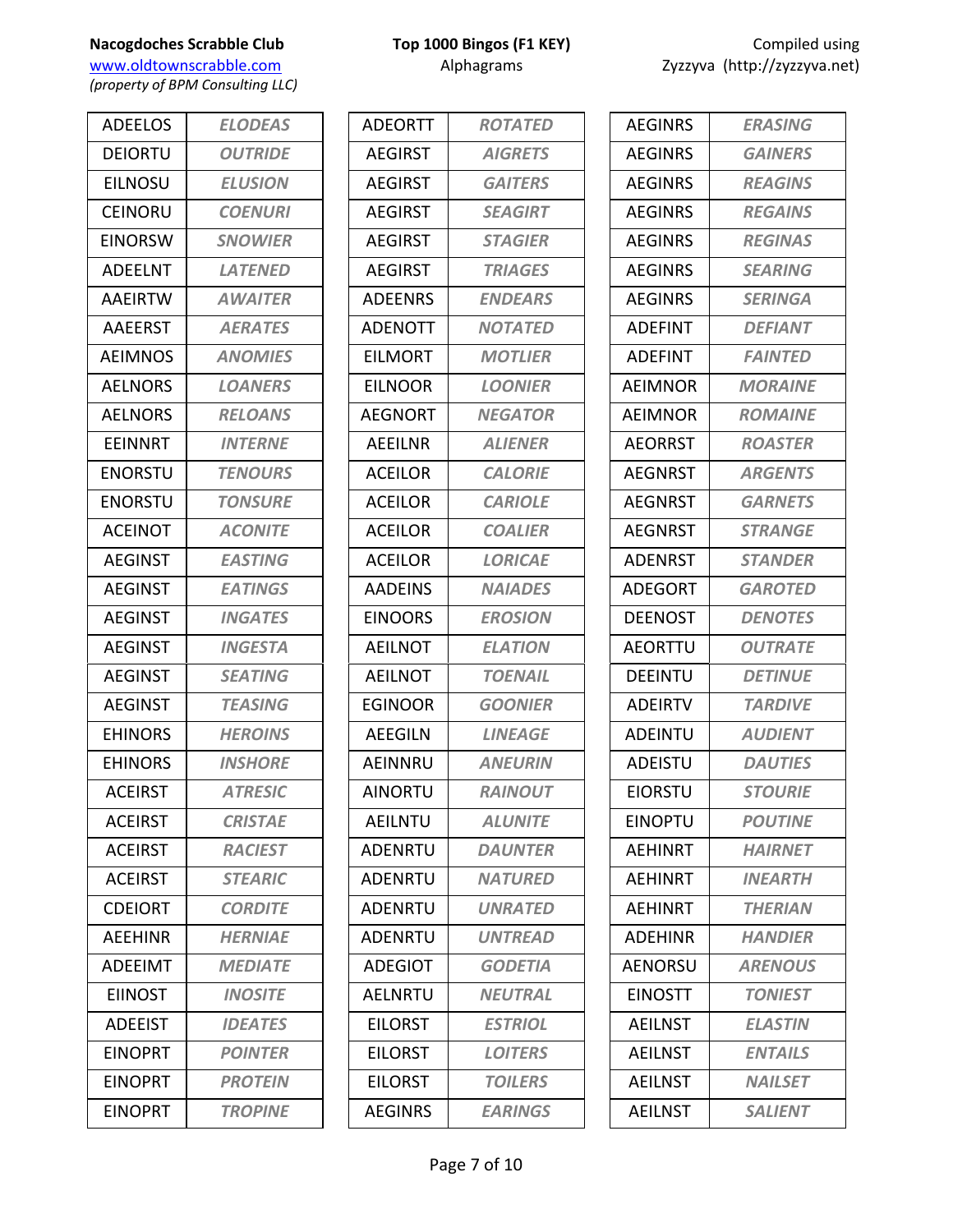www.oldtownscrabble.com Alphagrams Alphagrams Zyzzyva (http://zyzzyva.net) *(property of BPM Consulting LLC)*

ADEELOS *ELODEAS* DEIORTU *OUTRIDE* EILNOSU *ELUSION* CEINORU *COENURI* EINORSW *SNOWIER* ADEELNT *LATENED* AAEIRTW *AWAITER* AAEERST *AERATES* AEIMNOS *ANOMIES* AELNORS *LOANERS* AELNORS *RELOANS* EEINNRT *INTERNE* ENORSTU *TENOURS* ENORSTU *TONSURE* ACEINOT *ACONITE* AEGINST *EASTING* AEGINST *EATINGS* AEGINST *INGATES* AEGINST *INGESTA* AEGINST *SEATING* AEGINST *TEASING* EHINORS *HEROINS* EHINORS *INSHORE* ACEIRST *ATRESIC* ACEIRST *CRISTAE* ACEIRST *RACIEST* ACEIRST *STEARIC* CDEIORT *CORDITE* AEEHINR *HERNIAE* ADEEIMT *MEDIATE* EIINOST *INOSITE* ADEEIST *IDEATES* EINOPRT *POINTER* EINOPRT *PROTEIN* EINOPRT *TROPINE*

|  | Top 1000 Bingos (F1 KEY) |  |
|--|--------------------------|--|
|  | Alphagrams               |  |

| <b>ADEORTT</b> | <b>ROTATED</b> |
|----------------|----------------|
| <b>AEGIRST</b> | <b>AIGRETS</b> |
| <b>AEGIRST</b> | <b>GAITERS</b> |
| <b>AEGIRST</b> | <b>SEAGIRT</b> |
| <b>AEGIRST</b> | <b>STAGIER</b> |
| <b>AEGIRST</b> | <b>TRIAGES</b> |
| <b>ADEENRS</b> | <b>ENDEARS</b> |
| <b>ADENOTT</b> | <b>NOTATED</b> |
| <b>EILMORT</b> | <b>MOTLIER</b> |
| <b>EILNOOR</b> | <b>LOONIER</b> |
| AEGNORT        | <b>NEGATOR</b> |
| <b>AEEILNR</b> | <b>ALIENER</b> |
| <b>ACEILOR</b> | <b>CALORIE</b> |
| <b>ACEILOR</b> | <b>CARIOLE</b> |
| <b>ACEILOR</b> | <b>COALIER</b> |
| <b>ACEILOR</b> | <b>LORICAE</b> |
| <b>AADEINS</b> | <b>NAIADES</b> |
| EINOORS        | <b>EROSION</b> |
| <b>AEILNOT</b> | <b>ELATION</b> |
| AEILNOT        | <b>TOENAIL</b> |
| EGINOOR        | <b>GOONIER</b> |
| <b>AEEGILN</b> | <b>LINEAGE</b> |
| AEINNRU        | <b>ANEURIN</b> |
| <b>AINORTU</b> | <b>RAINOUT</b> |
| <b>AEILNTU</b> | <b>ALUNITE</b> |
| ADENRTU        | <b>DAUNTER</b> |
| ADENRTU        | <b>NATURED</b> |
| ADENRTU        | <b>UNRATED</b> |
| <b>ADENRTU</b> | <b>UNTREAD</b> |
| <b>ADEGIOT</b> | <b>GODETIA</b> |
| <b>AELNRTU</b> | <b>NEUTRAL</b> |
| <b>EILORST</b> | <b>ESTRIOL</b> |
| <b>EILORST</b> | <b>LOITERS</b> |
| <b>EILORST</b> | <b>TOILERS</b> |
| <b>AEGINRS</b> | <b>EARINGS</b> |

| <b>ERASING</b>        |
|-----------------------|
| <b>GAINERS</b>        |
| <b>REAGINS</b>        |
| <b>REGAINS</b>        |
| <b>REGINAS</b>        |
| <b>SEARING</b>        |
| <b>SERINGA</b>        |
| <b>DEFIANT</b>        |
| <b>FAINTED</b>        |
| <b>MORAINE</b>        |
| <b>ROMAINE</b>        |
| <b>ROASTER</b>        |
| <b>ARGENTS</b>        |
| <b>GARNETS</b>        |
| <b>STRANGE</b>        |
| <b>STANDER</b>        |
| <i><b>GAROTED</b></i> |
| <b>DENOTES</b>        |
| <b>OUTRATE</b>        |
| <b>DETINUE</b>        |
| <b>TARDIVE</b>        |
| <b>AUDIENT</b>        |
| <b>DAUTIES</b>        |
| <i><b>STOURIE</b></i> |
| <b>POUTINE</b>        |
| <b>HAIRNET</b>        |
| <b>INEARTH</b>        |
| <b>THERIAN</b>        |
| <b>HANDIER</b>        |
| <b>ARENOUS</b>        |
| <b>TONIEST</b>        |
| <b>ELASTIN</b>        |
| <b>ENTAILS</b>        |
| <b>NAILSET</b>        |
| <b>SALIENT</b>        |
|                       |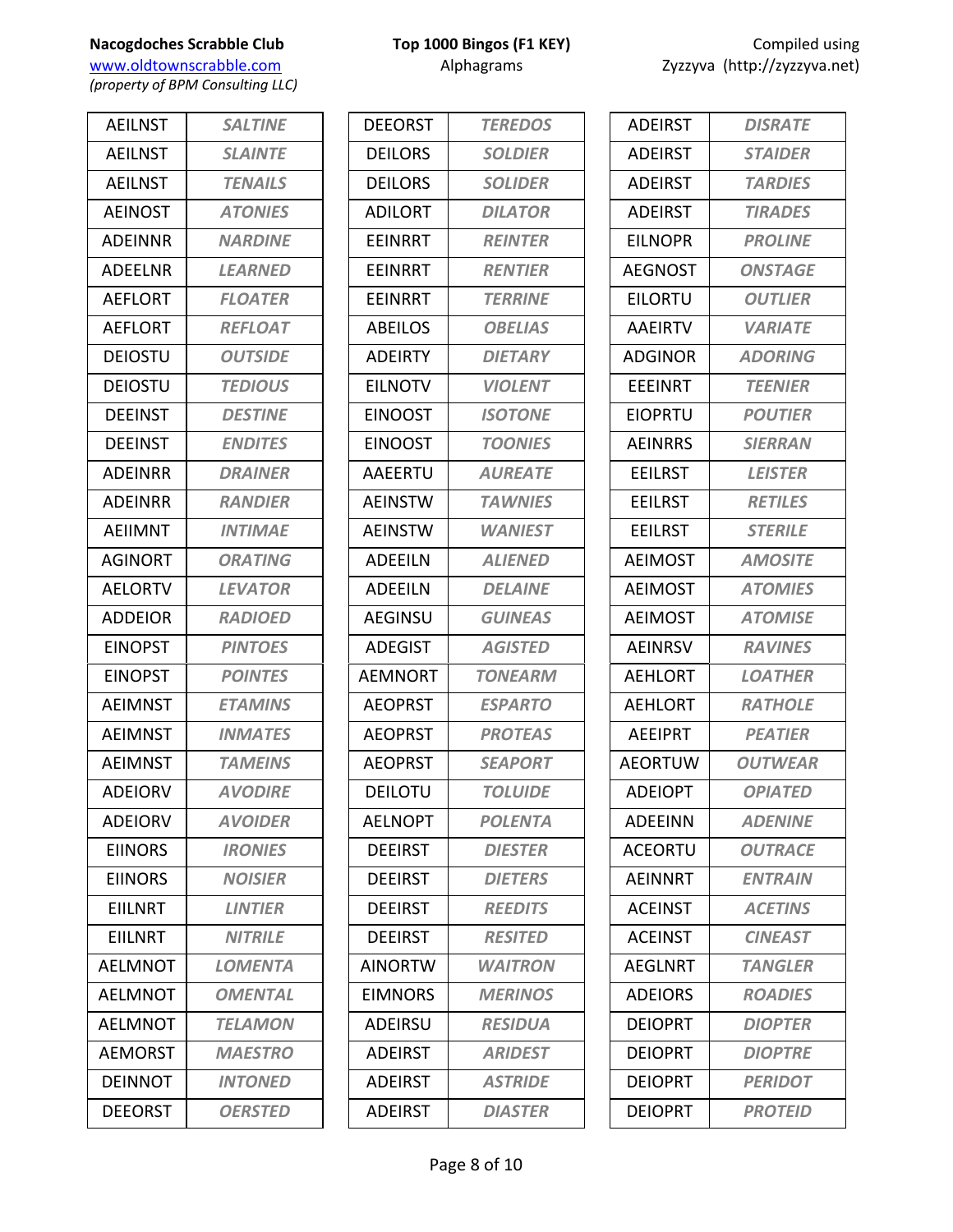www.oldtownscrabble.com Alphagrams Alphagrams Zyzzyva (http://zyzzyva.net) *(property of BPM Consulting LLC)*

AEILNST *SALTINE* AEILNST *SLAINTE* AEILNST *TENAILS* AEINOST *ATONIES* ADEINNR *NARDINE* ADEELNR *LEARNED* AEFLORT *FLOATER* AEFLORT *REFLOAT* DEIOSTU *OUTSIDE* DEIOSTU *TEDIOUS* DEEINST *DESTINE* DEEINST *ENDITES* ADEINRR *DRAINER* ADEINRR *RANDIER* AEIIMNT *INTIMAE* AGINORT *ORATING* AELORTV *LEVATOR* ADDEIOR *RADIOED* EINOPST *PINTOES* EINOPST *POINTES* AEIMNST *ETAMINS* AEIMNST *INMATES* AEIMNST *TAMEINS* ADEIORV *AVODIRE* ADEIORV *AVOIDER* EIINORS *IRONIES* EIINORS *NOISIER* EIILNRT *LINTIER* EIILNRT *NITRILE* AELMNOT *LOMENTA* AELMNOT *OMENTAL* AELMNOT *TELAMON* AEMORST *MAESTRO* DEINNOT *INTONED* DEEORST *OERSTED*

| <b>DEEORST</b> | <b>TEREDOS</b>        |
|----------------|-----------------------|
| DEILORS        | <b>SOLDIER</b>        |
| <b>DEILORS</b> | <b>SOLIDER</b>        |
| <b>ADILORT</b> | <b>DILATOR</b>        |
| <b>EEINRRT</b> | <b>REINTER</b>        |
| EEINRRT        | <b>RENTIER</b>        |
| <b>FFINRRT</b> | <b>TERRINE</b>        |
| <b>ABEILOS</b> | <b>OBELIAS</b>        |
| <b>ADEIRTY</b> | <b>DIETARY</b>        |
| <b>EILNOTV</b> | <i><b>VIOLENT</b></i> |
| EINOOST        | <b>ISOTONE</b>        |
| <b>EINOOST</b> | <b>TOONIES</b>        |
| <b>AAEERTU</b> | <b>AUREATE</b>        |
| <b>AEINSTW</b> | <b>TAWNIES</b>        |
| <b>AEINSTW</b> | <b>WANIEST</b>        |
| <b>ADEEILN</b> | <b>ALIENED</b>        |
| <b>ADEEILN</b> | <b>DELAINE</b>        |
| <b>AEGINSU</b> | <b>GUINEAS</b>        |
| <b>ADEGIST</b> | <b>AGISTED</b>        |
| AEMNORT        | TONEARM               |
| <b>AEOPRST</b> | <b>ESPARTO</b>        |
| <b>AEOPRST</b> | <b>PROTEAS</b>        |
| <b>AEOPRST</b> | <b>SEAPORT</b>        |
| <b>DEILOTU</b> | <b>TOLUIDE</b>        |
| <b>AELNOPT</b> | <b>POLENTA</b>        |
| <b>DEEIRST</b> | <b>DIESTER</b>        |
| <b>DEEIRST</b> | <b>DIETERS</b>        |
| <b>DEEIRST</b> | <b>REEDITS</b>        |
| <b>DEEIRST</b> | <b>RESITED</b>        |
| <b>AINORTW</b> | WAITRON               |
| <b>EIMNORS</b> | <b>MERINOS</b>        |
| <b>ADEIRSU</b> | <b>RESIDUA</b>        |
| <b>ADEIRST</b> | <b>ARIDEST</b>        |
| <b>ADEIRST</b> | <b>ASTRIDE</b>        |
| <b>ADEIRST</b> | <b>DIASTER</b>        |

| <b>ADEIRST</b> | <b>DISRATE</b>        |
|----------------|-----------------------|
| <b>ADEIRST</b> | <b>STAIDER</b>        |
| <b>ADEIRST</b> | <b>TARDIES</b>        |
| ADEIRST        | <b>TIRADES</b>        |
| EILNOPR        | <b>PROLINE</b>        |
| <b>AEGNOST</b> | <b>ONSTAGE</b>        |
| EILORTU        | <b>OUTLIER</b>        |
| <b>AAEIRTV</b> | <b><i>VARIATE</i></b> |
| <b>ADGINOR</b> | <b>ADORING</b>        |
| <b>EEEINRT</b> | <b>TEENIER</b>        |
| EIOPRTU        | <b>POUTIER</b>        |
| <b>AEINRRS</b> | <b>SIERRAN</b>        |
| <b>EEILRST</b> | <b>LEISTER</b>        |
| <b>EEILRST</b> | <b>RETILES</b>        |
| <b>EEILRST</b> | <b>STERILE</b>        |
| <b>AEIMOST</b> | <b>AMOSITE</b>        |
| <b>AEIMOST</b> | <b>ATOMIES</b>        |
| <b>AEIMOST</b> | <b>ATOMISE</b>        |
| <b>AEINRSV</b> | <b>RAVINES</b>        |
| <b>AEHLORT</b> | <b>LOATHER</b>        |
| <b>AEHLORT</b> | <b>RATHOLE</b>        |
| <b>AEEIPRT</b> | <b>PEATIER</b>        |
| <b>AFORTUW</b> | <b>OUTWEAR</b>        |
| ADEIOPT        | <i><b>OPIATED</b></i> |
| <b>ADFFINN</b> | <b>ADENINE</b>        |
| <b>ACEORTU</b> | <b>OUTRACE</b>        |
| AEINNRT        | <b>ENTRAIN</b>        |
| <b>ACEINST</b> | <b>ACETINS</b>        |
| <b>ACEINST</b> | <b>CINEAST</b>        |
| AEGLNRT        | <b>TANGLER</b>        |
| <b>ADEIORS</b> | <b>ROADIES</b>        |
| <b>DEIOPRT</b> | <b>DIOPTER</b>        |
| <b>DEIOPRT</b> | <b>DIOPTRE</b>        |
| <b>DEIOPRT</b> | <b>PERIDOT</b>        |
| <b>DEIOPRT</b> | <b>PROTEID</b>        |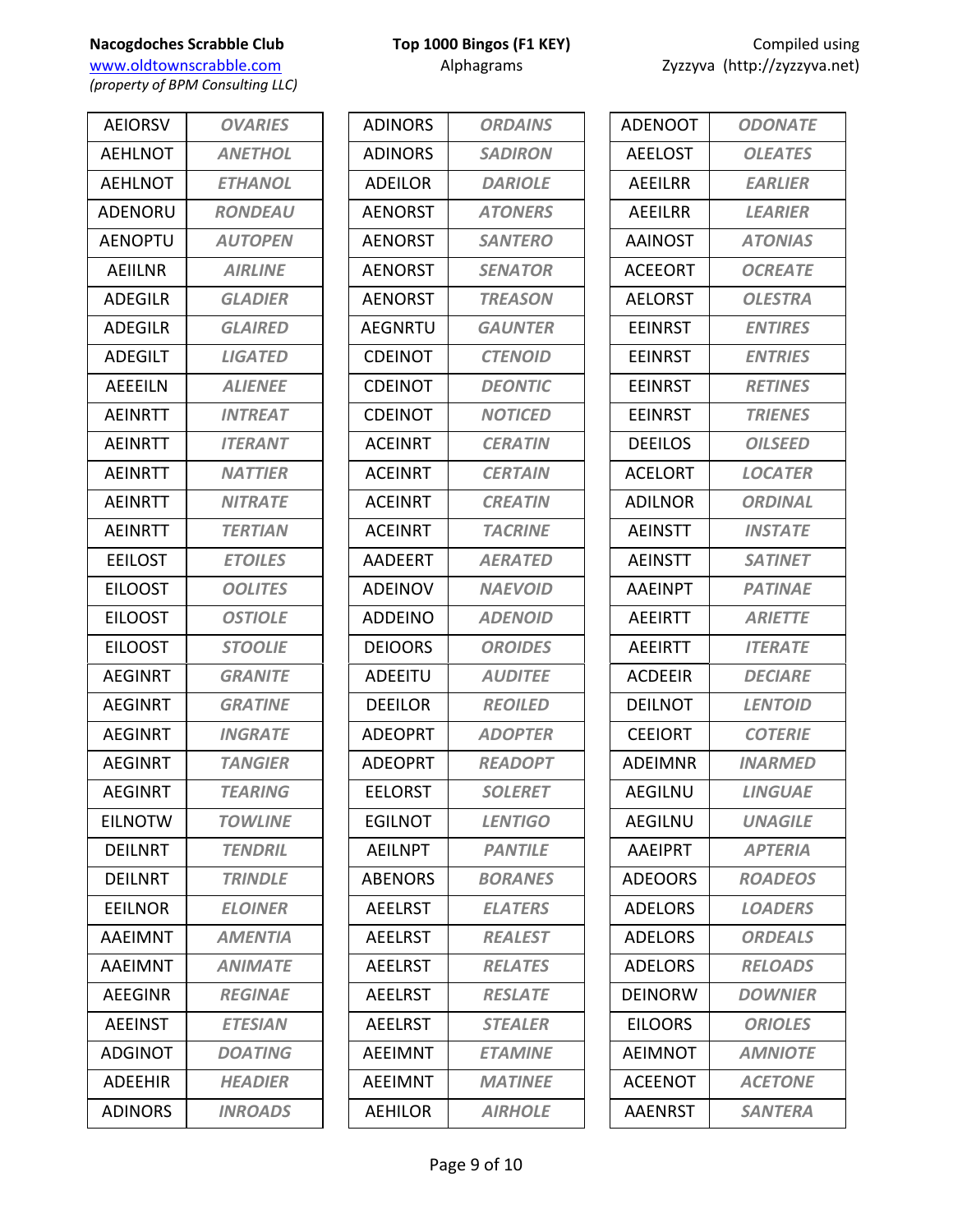www.oldtownscrabble.com Alphagrams Alphagrams Zyzzyva (http://zyzzyva.net) *(property of BPM Consulting LLC)*

AEIORSV *OVARIES* AEHLNOT *ANETHOL* AEHLNOT *ETHANOL* ADENORU *RONDEAU* AENOPTU *AUTOPEN* AEIILNR *AIRLINE* ADEGILR *GLADIER* ADEGILR *GLAIRED* ADEGILT *LIGATED* AEEEILN *ALIENEE* AEINRTT *INTREAT* AEINRTT *ITERANT* AEINRTT *NATTIER* AEINRTT *NITRATE* AEINRTT *TERTIAN* EEILOST *ETOILES* EILOOST *OOLITES* EILOOST *OSTIOLE* EILOOST *STOOLIE* AEGINRT *GRANITE* AEGINRT *GRATINE* AEGINRT *INGRATE* AEGINRT *TANGIER* AEGINRT *TEARING* EILNOTW *TOWLINE* DEILNRT *TENDRIL* DEILNRT *TRINDLE* EEILNOR *ELOINER* AAEIMNT *AMENTIA* AAEIMNT *ANIMATE* AEEGINR *REGINAE* AEEINST *ETESIAN* ADGINOT *DOATING* ADEEHIR *HEADIER* ADINORS *INROADS*

| <b>ADINORS</b> | <b>ORDAINS</b> |
|----------------|----------------|
| <b>ADINORS</b> | <b>SADIRON</b> |
| <b>ADEILOR</b> | <b>DARIOLE</b> |
| <b>AENORST</b> | <b>ATONERS</b> |
| <b>AENORST</b> | <b>SANTERO</b> |
| <b>AENORST</b> | <b>SENATOR</b> |
| <b>AENORST</b> | <b>TREASON</b> |
| <b>AEGNRTU</b> | <b>GAUNTER</b> |
| <b>CDEINOT</b> | <b>CTENOID</b> |
| CDEINOT        | <b>DEONTIC</b> |
| <b>CDEINOT</b> | <b>NOTICED</b> |
| <b>ACEINRT</b> | <b>CERATIN</b> |
| <b>ACEINRT</b> | <b>CERTAIN</b> |
| <b>ACEINRT</b> | <b>CREATIN</b> |
| <b>ACEINRT</b> | <b>TACRINE</b> |
| <b>AADEERT</b> | <b>AERATED</b> |
| <b>ADEINOV</b> | <b>NAEVOID</b> |
| <b>ADDEINO</b> | <b>ADENOID</b> |
| <b>DEIOORS</b> | <b>OROIDES</b> |
| ADEEITU        | <b>AUDITEE</b> |
| <b>DEEILOR</b> | <b>REOILED</b> |
| <b>ADEOPRT</b> | <b>ADOPTER</b> |
| <b>ADEOPRT</b> | <b>READOPT</b> |
| <b>EELORST</b> | <b>SOLERET</b> |
| <b>EGILNOT</b> | <b>LENTIGO</b> |
| AEILNPT        | <b>PANTILE</b> |
| <b>ABENORS</b> | <b>BORANES</b> |
| <b>AEELRST</b> | <b>ELATERS</b> |
| <b>AEELRST</b> | <b>REALEST</b> |
| <b>AEELRST</b> | <b>RELATES</b> |
| <b>AEELRST</b> | <b>RESLATE</b> |
| <b>AEELRST</b> | <b>STEALER</b> |
| AEEIMNT        | <b>ETAMINE</b> |
| AEEIMNT        | <b>MATINEE</b> |
| <b>AEHILOR</b> | <b>AIRHOLE</b> |

| <b>ODONATE</b> |
|----------------|
| <b>OLEATES</b> |
| <b>EARLIER</b> |
| <b>LEARIER</b> |
| <b>ATONIAS</b> |
| <b>OCREATE</b> |
| <b>OLESTRA</b> |
| <b>ENTIRES</b> |
| <b>ENTRIES</b> |
| <b>RETINES</b> |
| <b>TRIENES</b> |
| <b>OILSEED</b> |
| <b>LOCATER</b> |
| ORDINAL        |
| <b>INSTATE</b> |
| <b>SATINET</b> |
| <b>PATINAE</b> |
| <b>ARIETTE</b> |
| <b>ITERATE</b> |
| <b>DECIARE</b> |
| <b>LENTOID</b> |
| <b>COTERIE</b> |
| <b>INARMED</b> |
| LINGUAF        |
| <b>UNAGILE</b> |
| <b>APTERIA</b> |
| <b>ROADEOS</b> |
| <b>LOADERS</b> |
| <b>ORDEALS</b> |
| <b>RELOADS</b> |
| <b>DOWNIER</b> |
| <b>ORIOLES</b> |
| <b>AMNIOTE</b> |
| <b>ACETONE</b> |
| <b>SANTERA</b> |
|                |